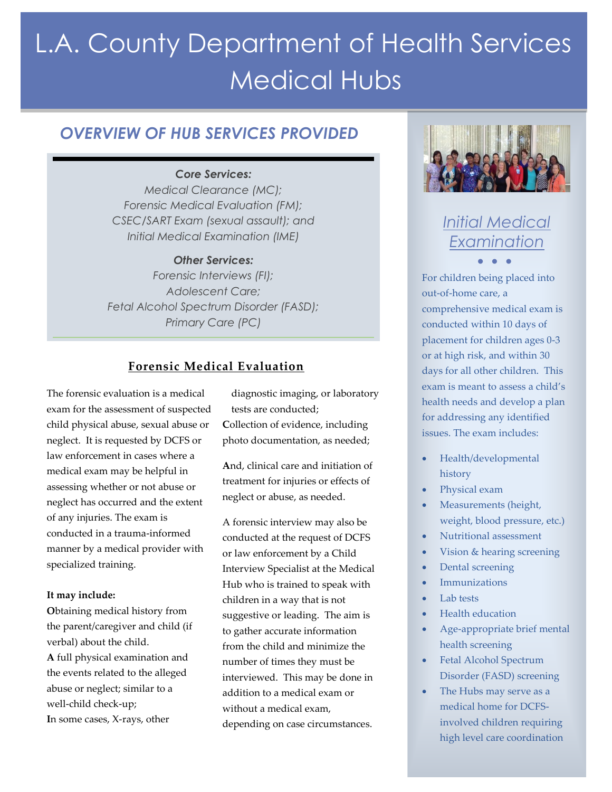# L.A. County Department of Health Services Medical Hubs

### *OVERVIEW OF HUB SERVICES PROVIDED*

#### *Core Services:*

*Medical Clearance (MC); Forensic Medical Evaluation (FM); CSEC/SART Exam (sexual assault); and Initial Medical Examination (IME)*

#### *Other Services:*

*Forensic Interviews (FI); Adolescent Care; Fetal Alcohol Spectrum Disorder (FASD); Primary Care (PC)*

#### **Forensic Medical Evaluation**

The forensic evaluation is a medical exam for the assessment of suspected child physical abuse, sexual abuse or neglect. It is requested by DCFS or law enforcement in cases where a medical exam may be helpful in assessing whether or not abuse or neglect has occurred and the extent of any injuries. The exam is conducted in a trauma-informed manner by a medical provider with specialized training.

#### **It may include:**

**O**btaining medical history from the parent/caregiver and child (if verbal) about the child. **A** full physical examination and the events related to the alleged abuse or neglect; similar to a well-child check-up; **I**n some cases, X-rays, other

diagnostic imaging, or laboratory tests are conducted; **C**ollection of evidence, including photo documentation, as needed;

**A**nd, clinical care and initiation of treatment for injuries or effects of neglect or abuse, as needed.

A forensic interview may also be conducted at the request of DCFS or law enforcement by a Child Interview Specialist at the Medical Hub who is trained to speak with children in a way that is not suggestive or leading. The aim is to gather accurate information from the child and minimize the number of times they must be interviewed. This may be done in addition to a medical exam or without a medical exam, depending on case circumstances.



# *Initial Medical Examination • • •*

For children being placed into out-of-home care, a comprehensive medical exam is conducted within 10 days of placement for children ages 0-3 or at high risk, and within 30 days for all other children. This exam is meant to assess a child's health needs and develop a plan for addressing any identified issues. The exam includes:

- Health/developmental history
- Physical exam
- Measurements (height, weight, blood pressure, etc.)
- Nutritional assessment
- Vision & hearing screening
- Dental screening
- Immunizations
- Lab tests
- Health education
- Age-appropriate brief mental health screening
- Fetal Alcohol Spectrum Disorder (FASD) screening
- The Hubs may serve as a medical home for DCFSinvolved children requiring high level care coordination